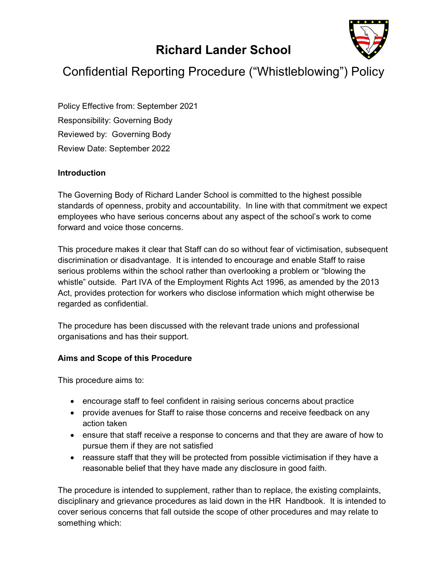# Richard Lander School



# Confidential Reporting Procedure ("Whistleblowing") Policy

Policy Effective from: September 2021 Responsibility: Governing Body Reviewed by: Governing Body Review Date: September 2022

### **Introduction**

The Governing Body of Richard Lander School is committed to the highest possible standards of openness, probity and accountability. In line with that commitment we expect employees who have serious concerns about any aspect of the school's work to come forward and voice those concerns.

This procedure makes it clear that Staff can do so without fear of victimisation, subsequent discrimination or disadvantage. It is intended to encourage and enable Staff to raise serious problems within the school rather than overlooking a problem or "blowing the whistle" outside. Part IVA of the Employment Rights Act 1996, as amended by the 2013 Act, provides protection for workers who disclose information which might otherwise be regarded as confidential.

The procedure has been discussed with the relevant trade unions and professional organisations and has their support.

### Aims and Scope of this Procedure

This procedure aims to:

- encourage staff to feel confident in raising serious concerns about practice
- provide avenues for Staff to raise those concerns and receive feedback on any action taken
- ensure that staff receive a response to concerns and that they are aware of how to pursue them if they are not satisfied
- reassure staff that they will be protected from possible victimisation if they have a reasonable belief that they have made any disclosure in good faith.

The procedure is intended to supplement, rather than to replace, the existing complaints, disciplinary and grievance procedures as laid down in the HR Handbook. It is intended to cover serious concerns that fall outside the scope of other procedures and may relate to something which: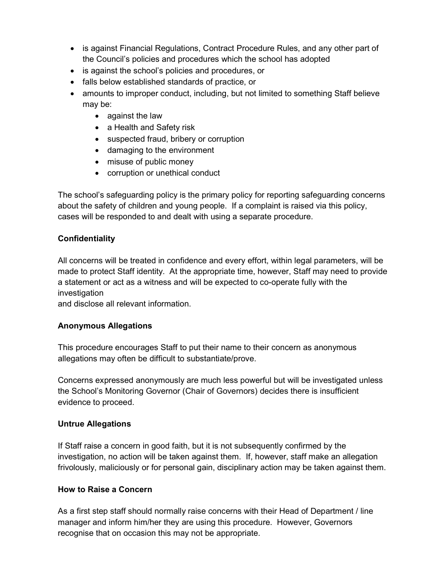- is against Financial Regulations, Contract Procedure Rules, and any other part of the Council's policies and procedures which the school has adopted
- is against the school's policies and procedures, or
- falls below established standards of practice, or
- amounts to improper conduct, including, but not limited to something Staff believe may be:
	- against the law
	- a Health and Safety risk
	- suspected fraud, bribery or corruption
	- damaging to the environment
	- misuse of public money
	- corruption or unethical conduct

The school's safeguarding policy is the primary policy for reporting safeguarding concerns about the safety of children and young people. If a complaint is raised via this policy, cases will be responded to and dealt with using a separate procedure.

### **Confidentiality**

All concerns will be treated in confidence and every effort, within legal parameters, will be made to protect Staff identity. At the appropriate time, however, Staff may need to provide a statement or act as a witness and will be expected to co-operate fully with the investigation

and disclose all relevant information.

### Anonymous Allegations

This procedure encourages Staff to put their name to their concern as anonymous allegations may often be difficult to substantiate/prove.

Concerns expressed anonymously are much less powerful but will be investigated unless the School's Monitoring Governor (Chair of Governors) decides there is insufficient evidence to proceed.

### Untrue Allegations

If Staff raise a concern in good faith, but it is not subsequently confirmed by the investigation, no action will be taken against them. If, however, staff make an allegation frivolously, maliciously or for personal gain, disciplinary action may be taken against them.

### How to Raise a Concern

As a first step staff should normally raise concerns with their Head of Department / line manager and inform him/her they are using this procedure. However, Governors recognise that on occasion this may not be appropriate.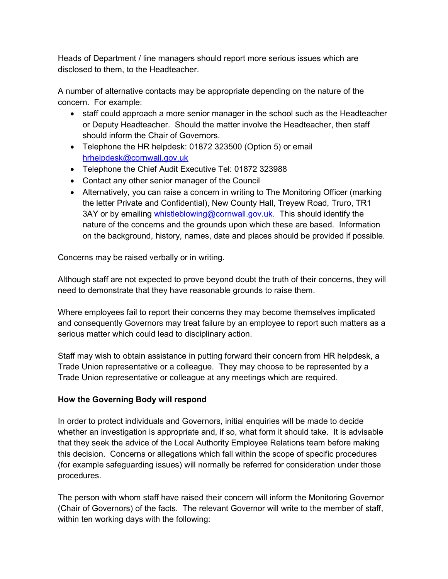Heads of Department / line managers should report more serious issues which are disclosed to them, to the Headteacher.

A number of alternative contacts may be appropriate depending on the nature of the concern. For example:

- staff could approach a more senior manager in the school such as the Headteacher or Deputy Headteacher. Should the matter involve the Headteacher, then staff should inform the Chair of Governors.
- Telephone the HR helpdesk: 01872 323500 (Option 5) or email hrhelpdesk@cornwall.gov.uk
- Telephone the Chief Audit Executive Tel: 01872 323988
- Contact any other senior manager of the Council
- Alternatively, you can raise a concern in writing to The Monitoring Officer (marking the letter Private and Confidential), New County Hall, Treyew Road, Truro, TR1 3AY or by emailing whistleblowing@cornwall.gov.uk. This should identify the nature of the concerns and the grounds upon which these are based. Information on the background, history, names, date and places should be provided if possible.

Concerns may be raised verbally or in writing.

Although staff are not expected to prove beyond doubt the truth of their concerns, they will need to demonstrate that they have reasonable grounds to raise them.

Where employees fail to report their concerns they may become themselves implicated and consequently Governors may treat failure by an employee to report such matters as a serious matter which could lead to disciplinary action.

Staff may wish to obtain assistance in putting forward their concern from HR helpdesk, a Trade Union representative or a colleague. They may choose to be represented by a Trade Union representative or colleague at any meetings which are required.

### How the Governing Body will respond

In order to protect individuals and Governors, initial enquiries will be made to decide whether an investigation is appropriate and, if so, what form it should take. It is advisable that they seek the advice of the Local Authority Employee Relations team before making this decision. Concerns or allegations which fall within the scope of specific procedures (for example safeguarding issues) will normally be referred for consideration under those procedures.

The person with whom staff have raised their concern will inform the Monitoring Governor (Chair of Governors) of the facts. The relevant Governor will write to the member of staff, within ten working days with the following: